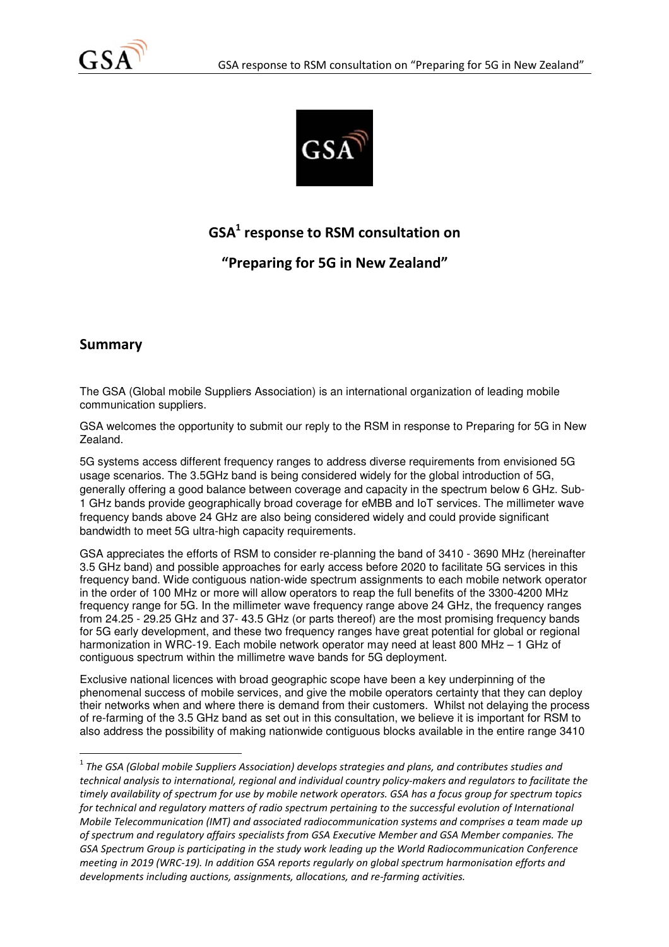



# GSA $^1$  response to RSM consultation on

"Preparing for 5G in New Zealand"

## Summary

l

The GSA (Global mobile Suppliers Association) is an international organization of leading mobile communication suppliers.

GSA welcomes the opportunity to submit our reply to the RSM in response to Preparing for 5G in New Zealand.

5G systems access different frequency ranges to address diverse requirements from envisioned 5G usage scenarios. The 3.5GHz band is being considered widely for the global introduction of 5G, generally offering a good balance between coverage and capacity in the spectrum below 6 GHz. Sub-1 GHz bands provide geographically broad coverage for eMBB and IoT services. The millimeter wave frequency bands above 24 GHz are also being considered widely and could provide significant bandwidth to meet 5G ultra-high capacity requirements.

GSA appreciates the efforts of RSM to consider re-planning the band of 3410 - 3690 MHz (hereinafter 3.5 GHz band) and possible approaches for early access before 2020 to facilitate 5G services in this frequency band. Wide contiguous nation-wide spectrum assignments to each mobile network operator in the order of 100 MHz or more will allow operators to reap the full benefits of the 3300-4200 MHz frequency range for 5G. In the millimeter wave frequency range above 24 GHz, the frequency ranges from 24.25 - 29.25 GHz and 37- 43.5 GHz (or parts thereof) are the most promising frequency bands for 5G early development, and these two frequency ranges have great potential for global or regional harmonization in WRC-19. Each mobile network operator may need at least 800 MHz – 1 GHz of contiguous spectrum within the millimetre wave bands for 5G deployment.

Exclusive national licences with broad geographic scope have been a key underpinning of the phenomenal success of mobile services, and give the mobile operators certainty that they can deploy their networks when and where there is demand from their customers. Whilst not delaying the process of re-farming of the 3.5 GHz band as set out in this consultation, we believe it is important for RSM to also address the possibility of making nationwide contiguous blocks available in the entire range 3410

 $^{\rm 1}$  The GSA (Global mobile Suppliers Association) develops strategies and plans, and contributes studies and technical analysis to international, regional and individual country policy-makers and regulators to facilitate the timely availability of spectrum for use by mobile network operators. GSA has a focus group for spectrum topics for technical and regulatory matters of radio spectrum pertaining to the successful evolution of International Mobile Telecommunication (IMT) and associated radiocommunication systems and comprises a team made up of spectrum and regulatory affairs specialists from GSA Executive Member and GSA Member companies. The GSA Spectrum Group is participating in the study work leading up the World Radiocommunication Conference meeting in 2019 (WRC-19). In addition GSA reports regularly on global spectrum harmonisation efforts and developments including auctions, assignments, allocations, and re-farming activities.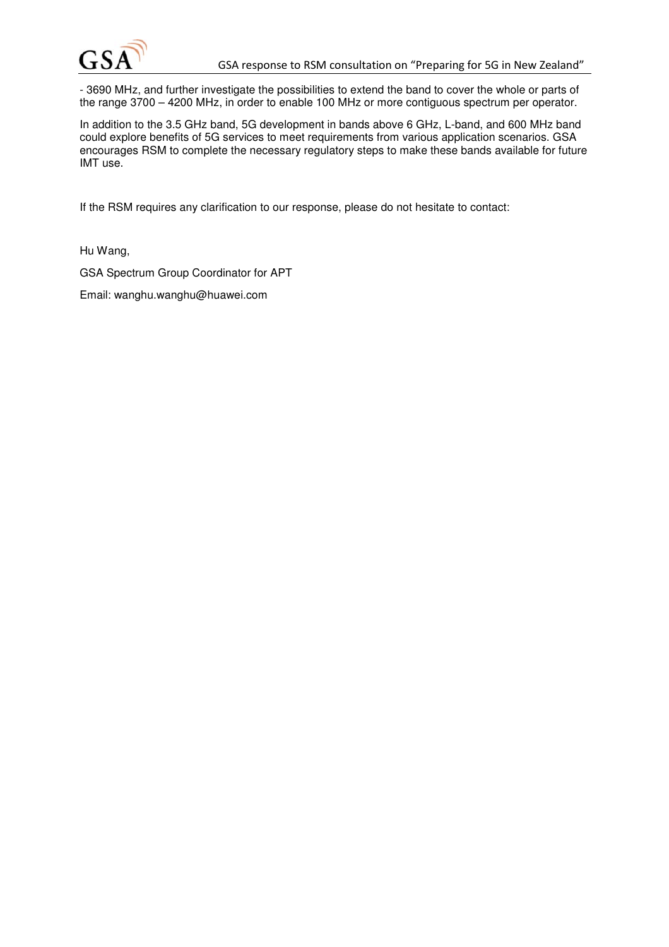

- 3690 MHz, and further investigate the possibilities to extend the band to cover the whole or parts of the range 3700 – 4200 MHz, in order to enable 100 MHz or more contiguous spectrum per operator.

In addition to the 3.5 GHz band, 5G development in bands above 6 GHz, L-band, and 600 MHz band could explore benefits of 5G services to meet requirements from various application scenarios. GSA encourages RSM to complete the necessary regulatory steps to make these bands available for future IMT use.

If the RSM requires any clarification to our response, please do not hesitate to contact:

Hu Wang,

GSA Spectrum Group Coordinator for APT

Email: wanghu.wanghu@huawei.com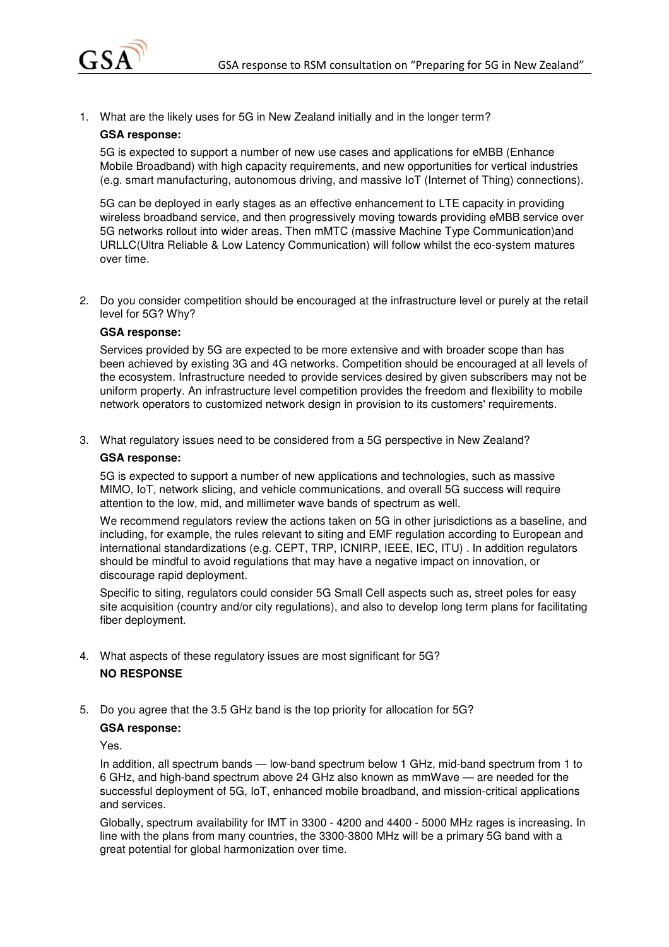

1. What are the likely uses for 5G in New Zealand initially and in the longer term?

### **GSA response:**

5G is expected to support a number of new use cases and applications for eMBB (Enhance Mobile Broadband) with high capacity requirements, and new opportunities for vertical industries (e.g. smart manufacturing, autonomous driving, and massive IoT (Internet of Thing) connections).

5G can be deployed in early stages as an effective enhancement to LTE capacity in providing wireless broadband service, and then progressively moving towards providing eMBB service over 5G networks rollout into wider areas. Then mMTC (massive Machine Type Communication)and URLLC(Ultra Reliable & Low Latency Communication) will follow whilst the eco-system matures over time.

2. Do you consider competition should be encouraged at the infrastructure level or purely at the retail level for 5G? Why?

### **GSA response:**

Services provided by 5G are expected to be more extensive and with broader scope than has been achieved by existing 3G and 4G networks. Competition should be encouraged at all levels of the ecosystem. Infrastructure needed to provide services desired by given subscribers may not be uniform property. An infrastructure level competition provides the freedom and flexibility to mobile network operators to customized network design in provision to its customers' requirements.

3. What regulatory issues need to be considered from a 5G perspective in New Zealand?

### **GSA response:**

5G is expected to support a number of new applications and technologies, such as massive MIMO, IoT, network slicing, and vehicle communications, and overall 5G success will require attention to the low, mid, and millimeter wave bands of spectrum as well.

We recommend regulators review the actions taken on 5G in other jurisdictions as a baseline, and including, for example, the rules relevant to siting and EMF regulation according to European and international standardizations (e.g. CEPT, TRP, ICNIRP, IEEE, IEC, ITU) . In addition regulators should be mindful to avoid regulations that may have a negative impact on innovation, or discourage rapid deployment.

Specific to siting, regulators could consider 5G Small Cell aspects such as, street poles for easy site acquisition (country and/or city regulations), and also to develop long term plans for facilitating fiber deployment.

- 4. What aspects of these regulatory issues are most significant for 5G? **NO RESPONSE**
- 5. Do you agree that the 3.5 GHz band is the top priority for allocation for 5G?

### **GSA response:**

Yes.

In addition, all spectrum bands — low-band spectrum below 1 GHz, mid-band spectrum from 1 to 6 GHz, and high-band spectrum above 24 GHz also known as mmWave — are needed for the successful deployment of 5G, IoT, enhanced mobile broadband, and mission-critical applications and services.

Globally, spectrum availability for IMT in 3300 - 4200 and 4400 - 5000 MHz rages is increasing. In line with the plans from many countries, the 3300-3800 MHz will be a primary 5G band with a great potential for global harmonization over time.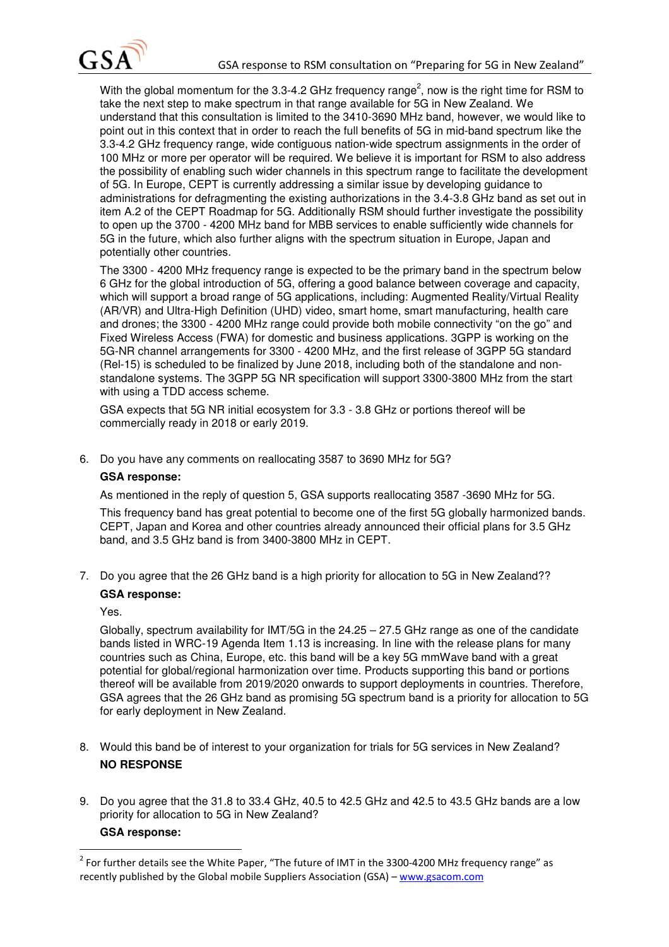

With the global momentum for the 3.3-4.2 GHz frequency range<sup>2</sup>, now is the right time for RSM to take the next step to make spectrum in that range available for 5G in New Zealand. We understand that this consultation is limited to the 3410-3690 MHz band, however, we would like to point out in this context that in order to reach the full benefits of 5G in mid-band spectrum like the 3.3-4.2 GHz frequency range, wide contiguous nation-wide spectrum assignments in the order of 100 MHz or more per operator will be required. We believe it is important for RSM to also address the possibility of enabling such wider channels in this spectrum range to facilitate the development of 5G. In Europe, CEPT is currently addressing a similar issue by developing guidance to administrations for defragmenting the existing authorizations in the 3.4-3.8 GHz band as set out in item A.2 of the CEPT Roadmap for 5G. Additionally RSM should further investigate the possibility to open up the 3700 - 4200 MHz band for MBB services to enable sufficiently wide channels for 5G in the future, which also further aligns with the spectrum situation in Europe, Japan and potentially other countries.

The 3300 - 4200 MHz frequency range is expected to be the primary band in the spectrum below 6 GHz for the global introduction of 5G, offering a good balance between coverage and capacity, which will support a broad range of 5G applications, including: Augmented Reality/Virtual Reality (AR/VR) and Ultra-High Definition (UHD) video, smart home, smart manufacturing, health care and drones; the 3300 - 4200 MHz range could provide both mobile connectivity "on the go" and Fixed Wireless Access (FWA) for domestic and business applications. 3GPP is working on the 5G-NR channel arrangements for 3300 - 4200 MHz, and the first release of 3GPP 5G standard (Rel-15) is scheduled to be finalized by June 2018, including both of the standalone and nonstandalone systems. The 3GPP 5G NR specification will support 3300-3800 MHz from the start with using a TDD access scheme.

GSA expects that 5G NR initial ecosystem for 3.3 - 3.8 GHz or portions thereof will be commercially ready in 2018 or early 2019.

6. Do you have any comments on reallocating 3587 to 3690 MHz for 5G?

### **GSA response:**

As mentioned in the reply of question 5, GSA supports reallocating 3587 -3690 MHz for 5G.

This frequency band has great potential to become one of the first 5G globally harmonized bands. CEPT, Japan and Korea and other countries already announced their official plans for 3.5 GHz band, and 3.5 GHz band is from 3400-3800 MHz in CEPT.

7. Do you agree that the 26 GHz band is a high priority for allocation to 5G in New Zealand?? **GSA response:** 

Yes.

Globally, spectrum availability for IMT/5G in the  $24.25 - 27.5$  GHz range as one of the candidate bands listed in WRC-19 Agenda Item 1.13 is increasing. In line with the release plans for many countries such as China, Europe, etc. this band will be a key 5G mmWave band with a great potential for global/regional harmonization over time. Products supporting this band or portions thereof will be available from 2019/2020 onwards to support deployments in countries. Therefore, GSA agrees that the 26 GHz band as promising 5G spectrum band is a priority for allocation to 5G for early deployment in New Zealand.

- 8. Would this band be of interest to your organization for trials for 5G services in New Zealand? **NO RESPONSE**
- 9. Do you agree that the 31.8 to 33.4 GHz, 40.5 to 42.5 GHz and 42.5 to 43.5 GHz bands are a low priority for allocation to 5G in New Zealand?

### **GSA response:**

l

 $^2$  For further details see the White Paper, "The future of IMT in the 3300-4200 MHz frequency range" as recently published by the Global mobile Suppliers Association (GSA) – www.gsacom.com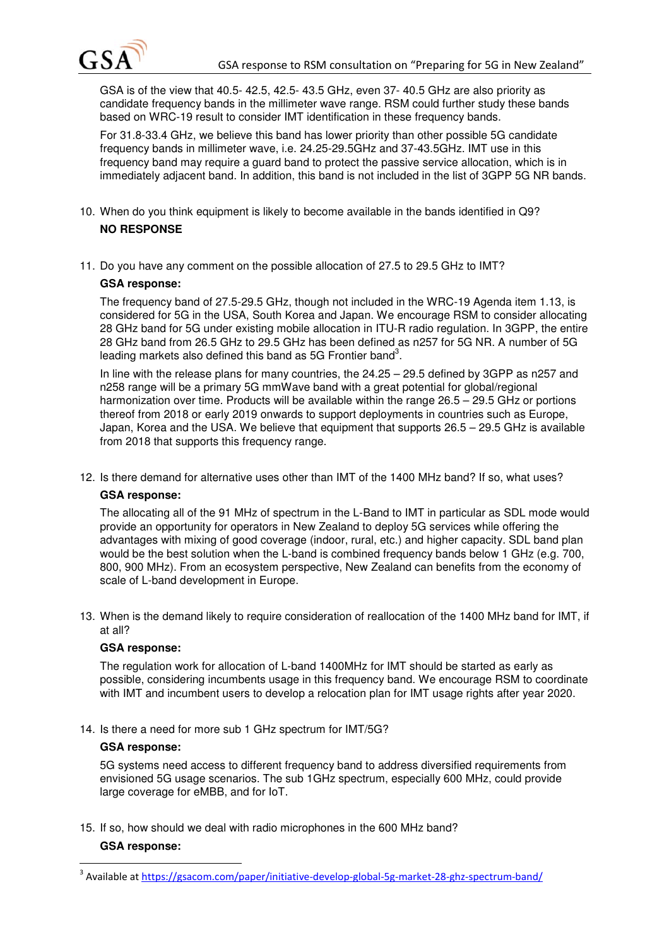

GSA is of the view that 40.5- 42.5, 42.5- 43.5 GHz, even 37- 40.5 GHz are also priority as candidate frequency bands in the millimeter wave range. RSM could further study these bands based on WRC-19 result to consider IMT identification in these frequency bands.

For 31.8-33.4 GHz, we believe this band has lower priority than other possible 5G candidate frequency bands in millimeter wave, i.e. 24.25-29.5GHz and 37-43.5GHz. IMT use in this frequency band may require a guard band to protect the passive service allocation, which is in immediately adjacent band. In addition, this band is not included in the list of 3GPP 5G NR bands.

- 10. When do you think equipment is likely to become available in the bands identified in Q9? **NO RESPONSE**
- 11. Do you have any comment on the possible allocation of 27.5 to 29.5 GHz to IMT?

### **GSA response:**

The frequency band of 27.5-29.5 GHz, though not included in the WRC-19 Agenda item 1.13, is considered for 5G in the USA, South Korea and Japan. We encourage RSM to consider allocating 28 GHz band for 5G under existing mobile allocation in ITU-R radio regulation. In 3GPP, the entire 28 GHz band from 26.5 GHz to 29.5 GHz has been defined as n257 for 5G NR. A number of 5G leading markets also defined this band as 5G Frontier band<sup>3</sup>.

In line with the release plans for many countries, the 24.25 – 29.5 defined by 3GPP as n257 and n258 range will be a primary 5G mmWave band with a great potential for global/regional harmonization over time. Products will be available within the range 26.5 – 29.5 GHz or portions thereof from 2018 or early 2019 onwards to support deployments in countries such as Europe, Japan, Korea and the USA. We believe that equipment that supports 26.5 – 29.5 GHz is available from 2018 that supports this frequency range.

12. Is there demand for alternative uses other than IMT of the 1400 MHz band? If so, what uses?

### **GSA response:**

The allocating all of the 91 MHz of spectrum in the L-Band to IMT in particular as SDL mode would provide an opportunity for operators in New Zealand to deploy 5G services while offering the advantages with mixing of good coverage (indoor, rural, etc.) and higher capacity. SDL band plan would be the best solution when the L-band is combined frequency bands below 1 GHz (e.g. 700, 800, 900 MHz). From an ecosystem perspective, New Zealand can benefits from the economy of scale of L-band development in Europe.

13. When is the demand likely to require consideration of reallocation of the 1400 MHz band for IMT, if at all?

### **GSA response:**

The regulation work for allocation of L-band 1400MHz for IMT should be started as early as possible, considering incumbents usage in this frequency band. We encourage RSM to coordinate with IMT and incumbent users to develop a relocation plan for IMT usage rights after year 2020.

14. Is there a need for more sub 1 GHz spectrum for IMT/5G?

### **GSA response:**

5G systems need access to different frequency band to address diversified requirements from envisioned 5G usage scenarios. The sub 1GHz spectrum, especially 600 MHz, could provide large coverage for eMBB, and for IoT.

15. If so, how should we deal with radio microphones in the 600 MHz band?

### **GSA response:**

 $\overline{\phantom{0}}$ 

<sup>&</sup>lt;sup>3</sup> Available at https://gsacom.com/paper/initiative-develop-global-5g-market-28-ghz-spectrum-band/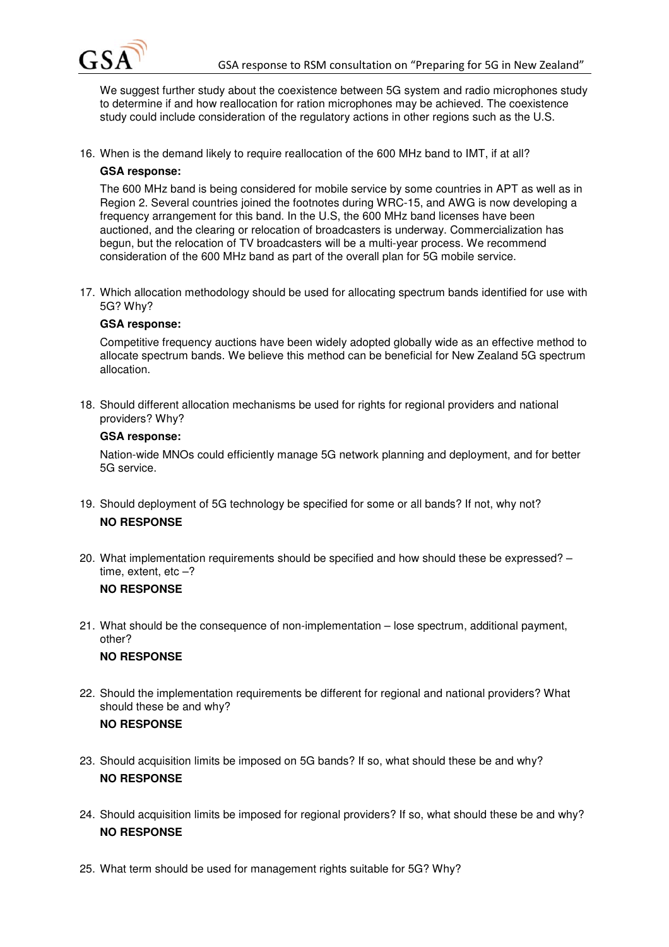

We suggest further study about the coexistence between 5G system and radio microphones study to determine if and how reallocation for ration microphones may be achieved. The coexistence study could include consideration of the regulatory actions in other regions such as the U.S.

16. When is the demand likely to require reallocation of the 600 MHz band to IMT, if at all?

### **GSA response:**

The 600 MHz band is being considered for mobile service by some countries in APT as well as in Region 2. Several countries joined the footnotes during WRC-15, and AWG is now developing a frequency arrangement for this band. In the U.S, the 600 MHz band licenses have been auctioned, and the clearing or relocation of broadcasters is underway. Commercialization has begun, but the relocation of TV broadcasters will be a multi-year process. We recommend consideration of the 600 MHz band as part of the overall plan for 5G mobile service.

17. Which allocation methodology should be used for allocating spectrum bands identified for use with 5G? Why?

### **GSA response:**

Competitive frequency auctions have been widely adopted globally wide as an effective method to allocate spectrum bands. We believe this method can be beneficial for New Zealand 5G spectrum allocation.

18. Should different allocation mechanisms be used for rights for regional providers and national providers? Why?

### **GSA response:**

Nation-wide MNOs could efficiently manage 5G network planning and deployment, and for better 5G service.

- 19. Should deployment of 5G technology be specified for some or all bands? If not, why not? **NO RESPONSE**
- 20. What implementation requirements should be specified and how should these be expressed? time, extent, etc  $-$ ?

### **NO RESPONSE**

21. What should be the consequence of non-implementation – lose spectrum, additional payment, other?

### **NO RESPONSE**

- 22. Should the implementation requirements be different for regional and national providers? What should these be and why? **NO RESPONSE**
- 23. Should acquisition limits be imposed on 5G bands? If so, what should these be and why? **NO RESPONSE**
- 24. Should acquisition limits be imposed for regional providers? If so, what should these be and why? **NO RESPONSE**
- 25. What term should be used for management rights suitable for 5G? Why?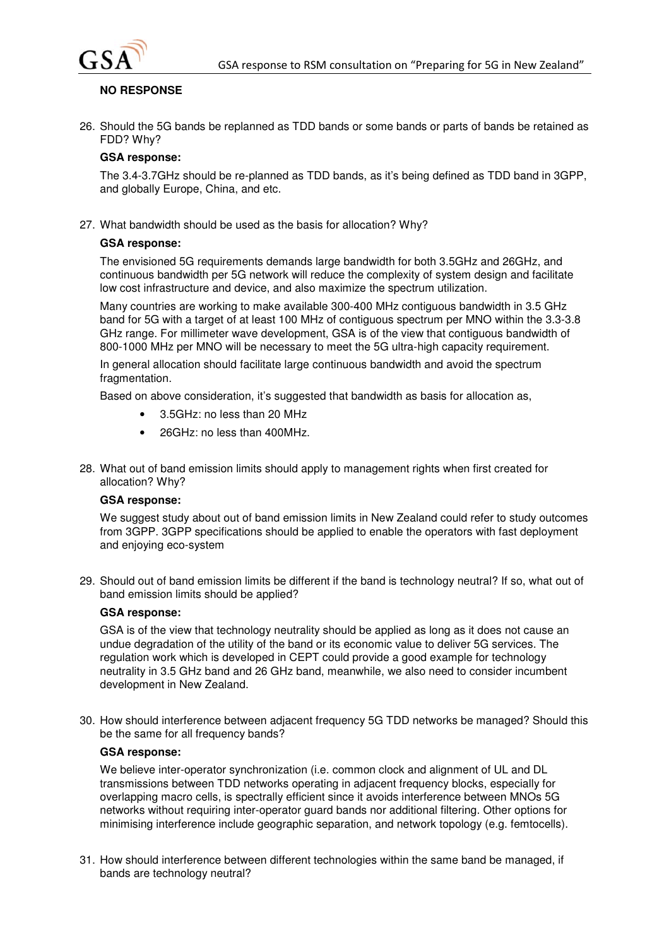

### **NO RESPONSE**

26. Should the 5G bands be replanned as TDD bands or some bands or parts of bands be retained as FDD? Why?

### **GSA response:**

The 3.4-3.7GHz should be re-planned as TDD bands, as it's being defined as TDD band in 3GPP, and globally Europe, China, and etc.

27. What bandwidth should be used as the basis for allocation? Why?

### **GSA response:**

The envisioned 5G requirements demands large bandwidth for both 3.5GHz and 26GHz, and continuous bandwidth per 5G network will reduce the complexity of system design and facilitate low cost infrastructure and device, and also maximize the spectrum utilization.

Many countries are working to make available 300-400 MHz contiguous bandwidth in 3.5 GHz band for 5G with a target of at least 100 MHz of contiguous spectrum per MNO within the 3.3-3.8 GHz range. For millimeter wave development, GSA is of the view that contiguous bandwidth of 800-1000 MHz per MNO will be necessary to meet the 5G ultra-high capacity requirement.

In general allocation should facilitate large continuous bandwidth and avoid the spectrum fragmentation.

Based on above consideration, it's suggested that bandwidth as basis for allocation as,

- 3.5GHz: no less than 20 MHz
- 26GHz: no less than 400MHz.
- 28. What out of band emission limits should apply to management rights when first created for allocation? Why?

### **GSA response:**

We suggest study about out of band emission limits in New Zealand could refer to study outcomes from 3GPP. 3GPP specifications should be applied to enable the operators with fast deployment and enjoying eco-system

29. Should out of band emission limits be different if the band is technology neutral? If so, what out of band emission limits should be applied?

### **GSA response:**

GSA is of the view that technology neutrality should be applied as long as it does not cause an undue degradation of the utility of the band or its economic value to deliver 5G services. The regulation work which is developed in CEPT could provide a good example for technology neutrality in 3.5 GHz band and 26 GHz band, meanwhile, we also need to consider incumbent development in New Zealand.

30. How should interference between adjacent frequency 5G TDD networks be managed? Should this be the same for all frequency bands?

### **GSA response:**

We believe inter-operator synchronization (i.e. common clock and alignment of UL and DL transmissions between TDD networks operating in adjacent frequency blocks, especially for overlapping macro cells, is spectrally efficient since it avoids interference between MNOs 5G networks without requiring inter-operator guard bands nor additional filtering. Other options for minimising interference include geographic separation, and network topology (e.g. femtocells).

31. How should interference between different technologies within the same band be managed, if bands are technology neutral?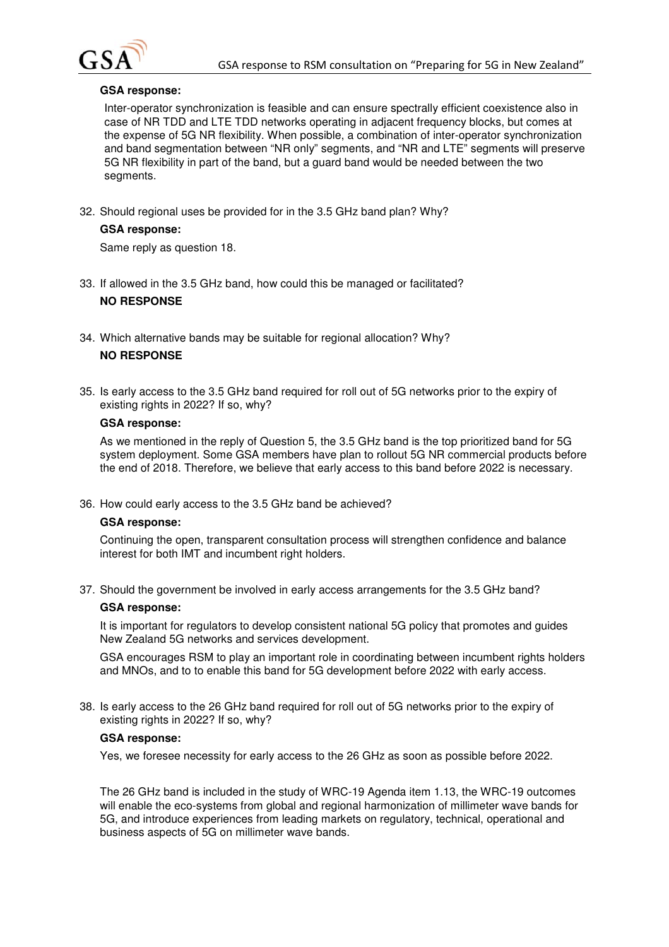

### **GSA response:**

Inter-operator synchronization is feasible and can ensure spectrally efficient coexistence also in case of NR TDD and LTE TDD networks operating in adjacent frequency blocks, but comes at the expense of 5G NR flexibility. When possible, a combination of inter-operator synchronization and band segmentation between "NR only" segments, and "NR and LTE" segments will preserve 5G NR flexibility in part of the band, but a guard band would be needed between the two segments.

32. Should regional uses be provided for in the 3.5 GHz band plan? Why?

### **GSA response:**

Same reply as question 18.

- 33. If allowed in the 3.5 GHz band, how could this be managed or facilitated? **NO RESPONSE**
- 34. Which alternative bands may be suitable for regional allocation? Why? **NO RESPONSE**
- 35. Is early access to the 3.5 GHz band required for roll out of 5G networks prior to the expiry of existing rights in 2022? If so, why?

#### **GSA response:**

As we mentioned in the reply of Question 5, the 3.5 GHz band is the top prioritized band for 5G system deployment. Some GSA members have plan to rollout 5G NR commercial products before the end of 2018. Therefore, we believe that early access to this band before 2022 is necessary.

36. How could early access to the 3.5 GHz band be achieved?

### **GSA response:**

Continuing the open, transparent consultation process will strengthen confidence and balance interest for both IMT and incumbent right holders.

37. Should the government be involved in early access arrangements for the 3.5 GHz band?

### **GSA response:**

It is important for regulators to develop consistent national 5G policy that promotes and guides New Zealand 5G networks and services development.

GSA encourages RSM to play an important role in coordinating between incumbent rights holders and MNOs, and to to enable this band for 5G development before 2022 with early access.

38. Is early access to the 26 GHz band required for roll out of 5G networks prior to the expiry of existing rights in 2022? If so, why?

#### **GSA response:**

Yes, we foresee necessity for early access to the 26 GHz as soon as possible before 2022.

The 26 GHz band is included in the study of WRC-19 Agenda item 1.13, the WRC-19 outcomes will enable the eco-systems from global and regional harmonization of millimeter wave bands for 5G, and introduce experiences from leading markets on regulatory, technical, operational and business aspects of 5G on millimeter wave bands.